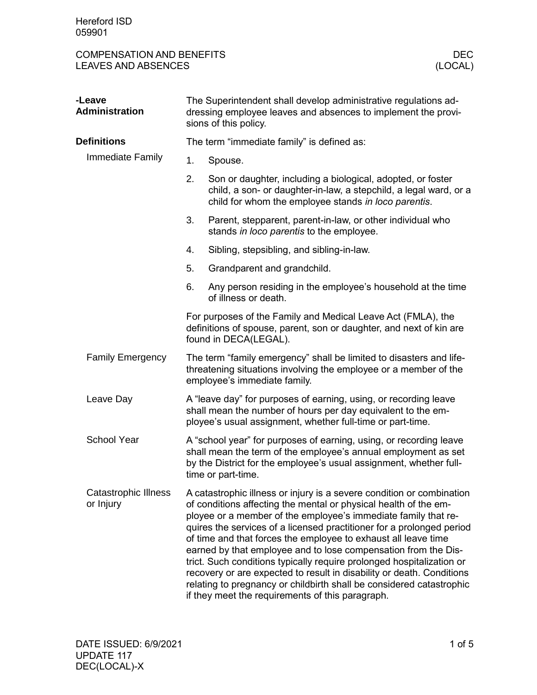## COMPENSATION AND BENEFITS DECNOSTION AND BENEFITS DECNOSTION AND BENEFITS DECNOSTION AND RESERVE SAMPLE DECNOSTION AND RESERVED BY A LOCAL DISPOSITION OF A LOCAL DISPOSITION AND RESERVED BY A LOCAL DISPOSITION AND RESERVED LEAVES AND ABSENCES

| -Leave<br><b>Administration</b>          | The Superintendent shall develop administrative regulations ad-<br>dressing employee leaves and absences to implement the provi-<br>sions of this policy.                                      |                                                                                                                                                                                                                                                                                                                                                                                                                                                                                                                                                                                                                                                                                                        |  |
|------------------------------------------|------------------------------------------------------------------------------------------------------------------------------------------------------------------------------------------------|--------------------------------------------------------------------------------------------------------------------------------------------------------------------------------------------------------------------------------------------------------------------------------------------------------------------------------------------------------------------------------------------------------------------------------------------------------------------------------------------------------------------------------------------------------------------------------------------------------------------------------------------------------------------------------------------------------|--|
| <b>Definitions</b>                       |                                                                                                                                                                                                | The term "immediate family" is defined as:                                                                                                                                                                                                                                                                                                                                                                                                                                                                                                                                                                                                                                                             |  |
| Immediate Family                         | 1.                                                                                                                                                                                             | Spouse.                                                                                                                                                                                                                                                                                                                                                                                                                                                                                                                                                                                                                                                                                                |  |
|                                          | 2.                                                                                                                                                                                             | Son or daughter, including a biological, adopted, or foster<br>child, a son- or daughter-in-law, a stepchild, a legal ward, or a<br>child for whom the employee stands in loco parentis.                                                                                                                                                                                                                                                                                                                                                                                                                                                                                                               |  |
|                                          | 3.                                                                                                                                                                                             | Parent, stepparent, parent-in-law, or other individual who<br>stands in loco parentis to the employee.                                                                                                                                                                                                                                                                                                                                                                                                                                                                                                                                                                                                 |  |
|                                          | 4.                                                                                                                                                                                             | Sibling, stepsibling, and sibling-in-law.                                                                                                                                                                                                                                                                                                                                                                                                                                                                                                                                                                                                                                                              |  |
|                                          | 5.                                                                                                                                                                                             | Grandparent and grandchild.                                                                                                                                                                                                                                                                                                                                                                                                                                                                                                                                                                                                                                                                            |  |
|                                          | 6.                                                                                                                                                                                             | Any person residing in the employee's household at the time<br>of illness or death.                                                                                                                                                                                                                                                                                                                                                                                                                                                                                                                                                                                                                    |  |
|                                          | For purposes of the Family and Medical Leave Act (FMLA), the<br>definitions of spouse, parent, son or daughter, and next of kin are<br>found in DECA(LEGAL).                                   |                                                                                                                                                                                                                                                                                                                                                                                                                                                                                                                                                                                                                                                                                                        |  |
| <b>Family Emergency</b>                  | The term "family emergency" shall be limited to disasters and life-<br>threatening situations involving the employee or a member of the<br>employee's immediate family.                        |                                                                                                                                                                                                                                                                                                                                                                                                                                                                                                                                                                                                                                                                                                        |  |
| Leave Day                                | A "leave day" for purposes of earning, using, or recording leave<br>shall mean the number of hours per day equivalent to the em-<br>ployee's usual assignment, whether full-time or part-time. |                                                                                                                                                                                                                                                                                                                                                                                                                                                                                                                                                                                                                                                                                                        |  |
| <b>School Year</b>                       |                                                                                                                                                                                                | A "school year" for purposes of earning, using, or recording leave<br>shall mean the term of the employee's annual employment as set<br>by the District for the employee's usual assignment, whether full-<br>time or part-time.                                                                                                                                                                                                                                                                                                                                                                                                                                                                       |  |
| <b>Catastrophic Illness</b><br>or Injury |                                                                                                                                                                                                | A catastrophic illness or injury is a severe condition or combination<br>of conditions affecting the mental or physical health of the em-<br>ployee or a member of the employee's immediate family that re-<br>quires the services of a licensed practitioner for a prolonged period<br>of time and that forces the employee to exhaust all leave time<br>earned by that employee and to lose compensation from the Dis-<br>trict. Such conditions typically require prolonged hospitalization or<br>recovery or are expected to result in disability or death. Conditions<br>relating to pregnancy or childbirth shall be considered catastrophic<br>if they meet the requirements of this paragraph. |  |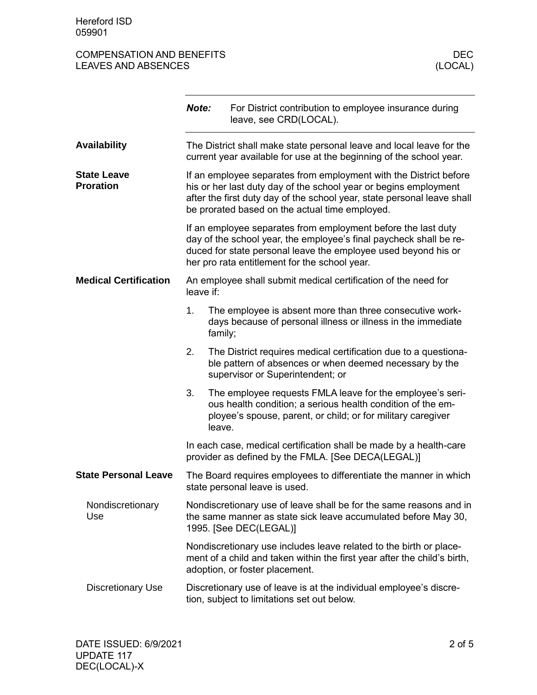## COMPENSATION AND BENEFITS DECNOSTION AND BENEFITS DECNOSTION AND BENEFITS DECNOSTION AND RESERVE SAMPLE DECNOSTION AND RESERVED BY A LOCAL DISPOSITION OF A LOCAL DISPOSITION AND RESERVED BY A LOCAL DISPOSITION AND RESERVED LEAVES AND ABSENCES

|                                        | Note:                                                                                                                                                                                                                                                              |         | For District contribution to employee insurance during<br>leave, see CRD(LOCAL).                                                                                                         |  |  |
|----------------------------------------|--------------------------------------------------------------------------------------------------------------------------------------------------------------------------------------------------------------------------------------------------------------------|---------|------------------------------------------------------------------------------------------------------------------------------------------------------------------------------------------|--|--|
| <b>Availability</b>                    | The District shall make state personal leave and local leave for the<br>current year available for use at the beginning of the school year.                                                                                                                        |         |                                                                                                                                                                                          |  |  |
| <b>State Leave</b><br><b>Proration</b> | If an employee separates from employment with the District before<br>his or her last duty day of the school year or begins employment<br>after the first duty day of the school year, state personal leave shall<br>be prorated based on the actual time employed. |         |                                                                                                                                                                                          |  |  |
|                                        | If an employee separates from employment before the last duty<br>day of the school year, the employee's final paycheck shall be re-<br>duced for state personal leave the employee used beyond his or<br>her pro rata entitlement for the school year.             |         |                                                                                                                                                                                          |  |  |
| <b>Medical Certification</b>           | An employee shall submit medical certification of the need for<br>leave if:                                                                                                                                                                                        |         |                                                                                                                                                                                          |  |  |
|                                        | 1.                                                                                                                                                                                                                                                                 | family; | The employee is absent more than three consecutive work-<br>days because of personal illness or illness in the immediate                                                                 |  |  |
|                                        | 2.                                                                                                                                                                                                                                                                 |         | The District requires medical certification due to a questiona-<br>ble pattern of absences or when deemed necessary by the<br>supervisor or Superintendent; or                           |  |  |
|                                        | 3.                                                                                                                                                                                                                                                                 | leave.  | The employee requests FMLA leave for the employee's seri-<br>ous health condition; a serious health condition of the em-<br>ployee's spouse, parent, or child; or for military caregiver |  |  |
|                                        | In each case, medical certification shall be made by a health-care<br>provider as defined by the FMLA. [See DECA(LEGAL)]                                                                                                                                           |         |                                                                                                                                                                                          |  |  |
| <b>State Personal Leave</b>            |                                                                                                                                                                                                                                                                    |         | The Board requires employees to differentiate the manner in which<br>state personal leave is used.                                                                                       |  |  |
| Nondiscretionary<br>Use                |                                                                                                                                                                                                                                                                    |         | Nondiscretionary use of leave shall be for the same reasons and in<br>the same manner as state sick leave accumulated before May 30,<br>1995. [See DEC(LEGAL)]                           |  |  |
|                                        |                                                                                                                                                                                                                                                                    |         | Nondiscretionary use includes leave related to the birth or place-<br>ment of a child and taken within the first year after the child's birth,<br>adoption, or foster placement.         |  |  |
| <b>Discretionary Use</b>               |                                                                                                                                                                                                                                                                    |         | Discretionary use of leave is at the individual employee's discre-<br>tion, subject to limitations set out below.                                                                        |  |  |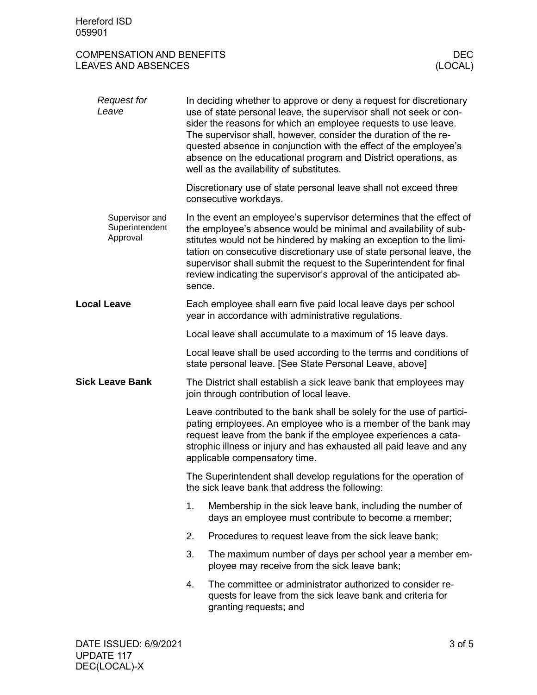## COMPENSATION AND BENEFITS DECOMPENSATION AND BENEFITS DECTRES AND ABSENCES LEAVES AND ABSENCES

| <b>Request for</b><br>Leave                  |                                                                                                                      | In deciding whether to approve or deny a request for discretionary<br>use of state personal leave, the supervisor shall not seek or con-<br>sider the reasons for which an employee requests to use leave.<br>The supervisor shall, however, consider the duration of the re-<br>quested absence in conjunction with the effect of the employee's<br>absence on the educational program and District operations, as<br>well as the availability of substitutes. |  |  |
|----------------------------------------------|----------------------------------------------------------------------------------------------------------------------|-----------------------------------------------------------------------------------------------------------------------------------------------------------------------------------------------------------------------------------------------------------------------------------------------------------------------------------------------------------------------------------------------------------------------------------------------------------------|--|--|
|                                              |                                                                                                                      | Discretionary use of state personal leave shall not exceed three<br>consecutive workdays.                                                                                                                                                                                                                                                                                                                                                                       |  |  |
| Supervisor and<br>Superintendent<br>Approval | sence.                                                                                                               | In the event an employee's supervisor determines that the effect of<br>the employee's absence would be minimal and availability of sub-<br>stitutes would not be hindered by making an exception to the limi-<br>tation on consecutive discretionary use of state personal leave, the<br>supervisor shall submit the request to the Superintendent for final<br>review indicating the supervisor's approval of the anticipated ab-                              |  |  |
| <b>Local Leave</b>                           |                                                                                                                      | Each employee shall earn five paid local leave days per school<br>year in accordance with administrative regulations.                                                                                                                                                                                                                                                                                                                                           |  |  |
|                                              |                                                                                                                      | Local leave shall accumulate to a maximum of 15 leave days.                                                                                                                                                                                                                                                                                                                                                                                                     |  |  |
|                                              |                                                                                                                      | Local leave shall be used according to the terms and conditions of<br>state personal leave. [See State Personal Leave, above]                                                                                                                                                                                                                                                                                                                                   |  |  |
|                                              | The District shall establish a sick leave bank that employees may<br>join through contribution of local leave.       |                                                                                                                                                                                                                                                                                                                                                                                                                                                                 |  |  |
| <b>Sick Leave Bank</b>                       |                                                                                                                      | Leave contributed to the bank shall be solely for the use of partici-<br>pating employees. An employee who is a member of the bank may<br>request leave from the bank if the employee experiences a cata-<br>strophic illness or injury and has exhausted all paid leave and any<br>applicable compensatory time.                                                                                                                                               |  |  |
|                                              | The Superintendent shall develop regulations for the operation of<br>the sick leave bank that address the following: |                                                                                                                                                                                                                                                                                                                                                                                                                                                                 |  |  |
|                                              | 1.                                                                                                                   | Membership in the sick leave bank, including the number of<br>days an employee must contribute to become a member;                                                                                                                                                                                                                                                                                                                                              |  |  |
|                                              | 2.                                                                                                                   | Procedures to request leave from the sick leave bank;                                                                                                                                                                                                                                                                                                                                                                                                           |  |  |
|                                              | 3.                                                                                                                   | The maximum number of days per school year a member em-<br>ployee may receive from the sick leave bank;                                                                                                                                                                                                                                                                                                                                                         |  |  |
|                                              | 4.                                                                                                                   | The committee or administrator authorized to consider re-<br>quests for leave from the sick leave bank and criteria for<br>granting requests; and                                                                                                                                                                                                                                                                                                               |  |  |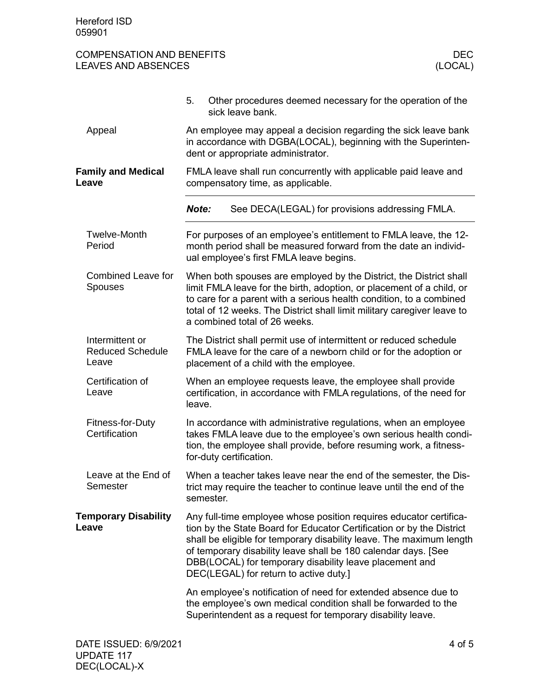| <b>COMPENSATION AND BENEFITS</b> |         |
|----------------------------------|---------|
| <b>LEAVES AND ABSENCES</b>       | (LOCAL) |

|                                                     | Other procedures deemed necessary for the operation of the<br>5.<br>sick leave bank.                                                                                                                                                                                                                                                                                                       |
|-----------------------------------------------------|--------------------------------------------------------------------------------------------------------------------------------------------------------------------------------------------------------------------------------------------------------------------------------------------------------------------------------------------------------------------------------------------|
| Appeal                                              | An employee may appeal a decision regarding the sick leave bank<br>in accordance with DGBA(LOCAL), beginning with the Superinten-<br>dent or appropriate administrator.                                                                                                                                                                                                                    |
| <b>Family and Medical</b><br>Leave                  | FMLA leave shall run concurrently with applicable paid leave and<br>compensatory time, as applicable.                                                                                                                                                                                                                                                                                      |
|                                                     | See DECA(LEGAL) for provisions addressing FMLA.<br>Note:                                                                                                                                                                                                                                                                                                                                   |
| <b>Twelve-Month</b><br>Period                       | For purposes of an employee's entitlement to FMLA leave, the 12-<br>month period shall be measured forward from the date an individ-<br>ual employee's first FMLA leave begins.                                                                                                                                                                                                            |
| <b>Combined Leave for</b><br><b>Spouses</b>         | When both spouses are employed by the District, the District shall<br>limit FMLA leave for the birth, adoption, or placement of a child, or<br>to care for a parent with a serious health condition, to a combined<br>total of 12 weeks. The District shall limit military caregiver leave to<br>a combined total of 26 weeks.                                                             |
| Intermittent or<br><b>Reduced Schedule</b><br>Leave | The District shall permit use of intermittent or reduced schedule<br>FMLA leave for the care of a newborn child or for the adoption or<br>placement of a child with the employee.                                                                                                                                                                                                          |
| Certification of<br>Leave                           | When an employee requests leave, the employee shall provide<br>certification, in accordance with FMLA regulations, of the need for<br>leave.                                                                                                                                                                                                                                               |
| Fitness-for-Duty<br>Certification                   | In accordance with administrative regulations, when an employee<br>takes FMLA leave due to the employee's own serious health condi-<br>tion, the employee shall provide, before resuming work, a fitness-<br>for-duty certification.                                                                                                                                                       |
| Leave at the End of<br>Semester                     | When a teacher takes leave near the end of the semester, the Dis-<br>trict may require the teacher to continue leave until the end of the<br>semester.                                                                                                                                                                                                                                     |
| <b>Temporary Disability</b><br>Leave                | Any full-time employee whose position requires educator certifica-<br>tion by the State Board for Educator Certification or by the District<br>shall be eligible for temporary disability leave. The maximum length<br>of temporary disability leave shall be 180 calendar days. [See<br>DBB(LOCAL) for temporary disability leave placement and<br>DEC(LEGAL) for return to active duty.] |
|                                                     | An employee's notification of need for extended absence due to<br>the employee's own medical condition shall be forwarded to the<br>Superintendent as a request for temporary disability leave.                                                                                                                                                                                            |